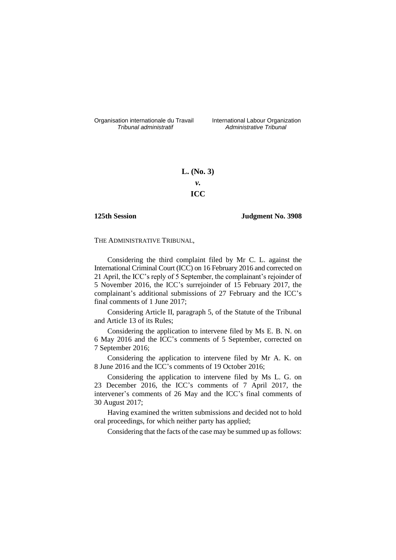Organisation internationale du Travail International Labour Organization<br>*Tribunal administratif Administrative Tribunal* 

*Tribunal administratif Administrative Tribunal*

# **L. (No. 3)** *v.* **ICC**

### **125th Session Judgment No. 3908**

THE ADMINISTRATIVE TRIBUNAL,

Considering the third complaint filed by Mr C. L. against the International Criminal Court (ICC) on 16 February 2016 and corrected on 21 April, the ICC's reply of 5 September, the complainant's rejoinder of 5 November 2016, the ICC's surrejoinder of 15 February 2017, the complainant's additional submissions of 27 February and the ICC's final comments of 1 June 2017;

Considering Article II, paragraph 5, of the Statute of the Tribunal and Article 13 of its Rules;

Considering the application to intervene filed by Ms E. B. N. on 6 May 2016 and the ICC's comments of 5 September, corrected on 7 September 2016;

Considering the application to intervene filed by Mr A. K. on 8 June 2016 and the ICC's comments of 19 October 2016;

Considering the application to intervene filed by Ms L. G. on 23 December 2016, the ICC's comments of 7 April 2017, the intervener's comments of 26 May and the ICC's final comments of 30 August 2017;

Having examined the written submissions and decided not to hold oral proceedings, for which neither party has applied;

Considering that the facts of the case may be summed up as follows: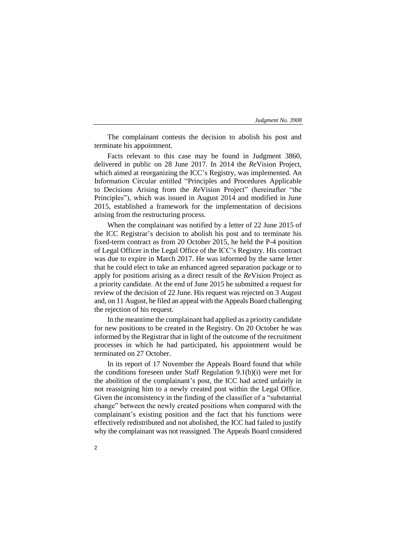The complainant contests the decision to abolish his post and terminate his appointment.

Facts relevant to this case may be found in Judgment 3860, delivered in public on 28 June 2017. In 2014 the *Re*Vision Project, which aimed at reorganizing the ICC's Registry, was implemented. An Information Circular entitled "Principles and Procedures Applicable to Decisions Arising from the *Re*Vision Project" (hereinafter "the Principles"), which was issued in August 2014 and modified in June 2015, established a framework for the implementation of decisions arising from the restructuring process.

When the complainant was notified by a letter of 22 June 2015 of the ICC Registrar's decision to abolish his post and to terminate his fixed-term contract as from 20 October 2015, he held the P-4 position of Legal Officer in the Legal Office of the ICC's Registry. His contract was due to expire in March 2017. He was informed by the same letter that he could elect to take an enhanced agreed separation package or to apply for positions arising as a direct result of the *Re*Vision Project as a priority candidate. At the end of June 2015 he submitted a request for review of the decision of 22 June. His request was rejected on 3 August and, on 11 August, he filed an appeal with the Appeals Board challenging the rejection of his request.

In the meantime the complainant had applied as a priority candidate for new positions to be created in the Registry. On 20 October he was informed by the Registrar that in light of the outcome of the recruitment processes in which he had participated, his appointment would be terminated on 27 October.

In its report of 17 November the Appeals Board found that while the conditions foreseen under Staff Regulation 9.1(b)(i) were met for the abolition of the complainant's post, the ICC had acted unfairly in not reassigning him to a newly created post within the Legal Office. Given the inconsistency in the finding of the classifier of a "substantial change" between the newly created positions when compared with the complainant's existing position and the fact that his functions were effectively redistributed and not abolished, the ICC had failed to justify why the complainant was not reassigned. The Appeals Board considered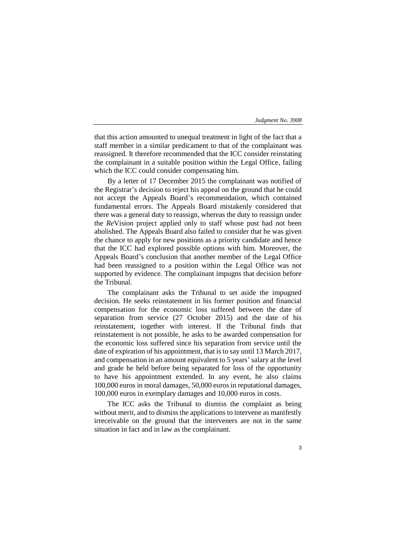that this action amounted to unequal treatment in light of the fact that a staff member in a similar predicament to that of the complainant was reassigned. It therefore recommended that the ICC consider reinstating the complainant in a suitable position within the Legal Office, failing which the ICC could consider compensating him.

By a letter of 17 December 2015 the complainant was notified of the Registrar's decision to reject his appeal on the ground that he could not accept the Appeals Board's recommendation, which contained fundamental errors. The Appeals Board mistakenly considered that there was a general duty to reassign, whereas the duty to reassign under the *Re*Vision project applied only to staff whose post had not been abolished. The Appeals Board also failed to consider that he was given the chance to apply for new positions as a priority candidate and hence that the ICC had explored possible options with him. Moreover, the Appeals Board's conclusion that another member of the Legal Office had been reassigned to a position within the Legal Office was not supported by evidence. The complainant impugns that decision before the Tribunal.

The complainant asks the Tribunal to set aside the impugned decision. He seeks reinstatement in his former position and financial compensation for the economic loss suffered between the date of separation from service (27 October 2015) and the date of his reinstatement, together with interest. If the Tribunal finds that reinstatement is not possible, he asks to be awarded compensation for the economic loss suffered since his separation from service until the date of expiration of his appointment, that is to say until 13 March 2017, and compensation in an amount equivalent to 5 years' salary at the level and grade he held before being separated for loss of the opportunity to have his appointment extended. In any event, he also claims 100,000 euros in moral damages, 50,000 euros in reputational damages, 100,000 euros in exemplary damages and 10,000 euros in costs.

The ICC asks the Tribunal to dismiss the complaint as being without merit, and to dismiss the applications to intervene as manifestly irreceivable on the ground that the interveners are not in the same situation in fact and in law as the complainant.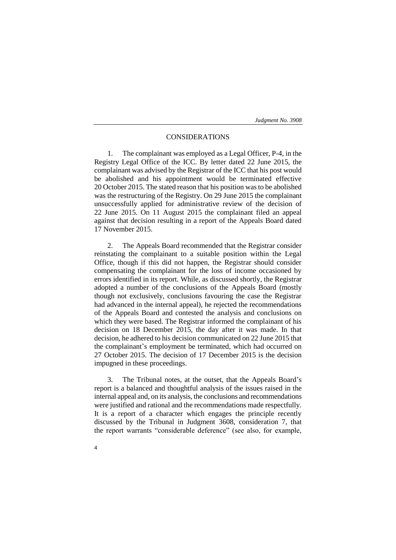## CONSIDERATIONS

1. The complainant was employed as a Legal Officer, P-4, in the Registry Legal Office of the ICC. By letter dated 22 June 2015, the complainant was advised by the Registrar of the ICC that his post would be abolished and his appointment would be terminated effective 20 October 2015. The stated reason that his position was to be abolished was the restructuring of the Registry. On 29 June 2015 the complainant unsuccessfully applied for administrative review of the decision of 22 June 2015. On 11 August 2015 the complainant filed an appeal against that decision resulting in a report of the Appeals Board dated 17 November 2015.

2. The Appeals Board recommended that the Registrar consider reinstating the complainant to a suitable position within the Legal Office, though if this did not happen, the Registrar should consider compensating the complainant for the loss of income occasioned by errors identified in its report. While, as discussed shortly, the Registrar adopted a number of the conclusions of the Appeals Board (mostly though not exclusively, conclusions favouring the case the Registrar had advanced in the internal appeal), he rejected the recommendations of the Appeals Board and contested the analysis and conclusions on which they were based. The Registrar informed the complainant of his decision on 18 December 2015, the day after it was made. In that decision, he adhered to his decision communicated on 22 June 2015 that the complainant's employment be terminated, which had occurred on 27 October 2015. The decision of 17 December 2015 is the decision impugned in these proceedings.

3. The Tribunal notes, at the outset, that the Appeals Board's report is a balanced and thoughtful analysis of the issues raised in the internal appeal and, on its analysis, the conclusions and recommendations were justified and rational and the recommendations made respectfully. It is a report of a character which engages the principle recently discussed by the Tribunal in Judgment 3608, consideration 7, that the report warrants "considerable deference" (see also, for example,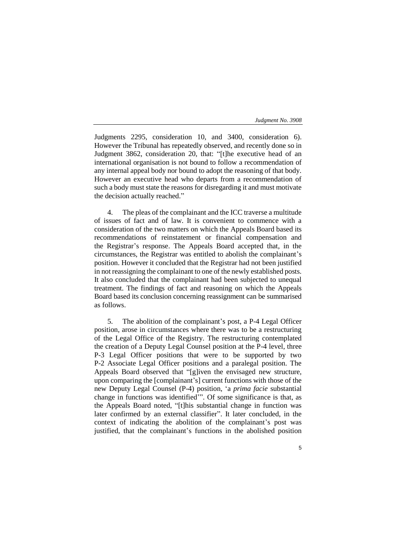Judgments 2295, consideration 10, and 3400, consideration 6). However the Tribunal has repeatedly observed, and recently done so in Judgment 3862, consideration 20, that: "[t]he executive head of an international organisation is not bound to follow a recommendation of any internal appeal body nor bound to adopt the reasoning of that body. However an executive head who departs from a recommendation of such a body must state the reasons for disregarding it and must motivate the decision actually reached."

4. The pleas of the complainant and the ICC traverse a multitude of issues of fact and of law. It is convenient to commence with a consideration of the two matters on which the Appeals Board based its recommendations of reinstatement or financial compensation and the Registrar's response. The Appeals Board accepted that, in the circumstances, the Registrar was entitled to abolish the complainant's position. However it concluded that the Registrar had not been justified in not reassigning the complainant to one of the newly established posts. It also concluded that the complainant had been subjected to unequal treatment. The findings of fact and reasoning on which the Appeals Board based its conclusion concerning reassignment can be summarised as follows.

5. The abolition of the complainant's post, a P-4 Legal Officer position, arose in circumstances where there was to be a restructuring of the Legal Office of the Registry. The restructuring contemplated the creation of a Deputy Legal Counsel position at the P-4 level, three P-3 Legal Officer positions that were to be supported by two P-2 Associate Legal Officer positions and a paralegal position. The Appeals Board observed that "[g]iven the envisaged new structure, upon comparing the [complainant's] current functions with those of the new Deputy Legal Counsel (P-4) position, 'a *prima facie* substantial change in functions was identified'". Of some significance is that, as the Appeals Board noted, "[t]his substantial change in function was later confirmed by an external classifier". It later concluded, in the context of indicating the abolition of the complainant's post was justified, that the complainant's functions in the abolished position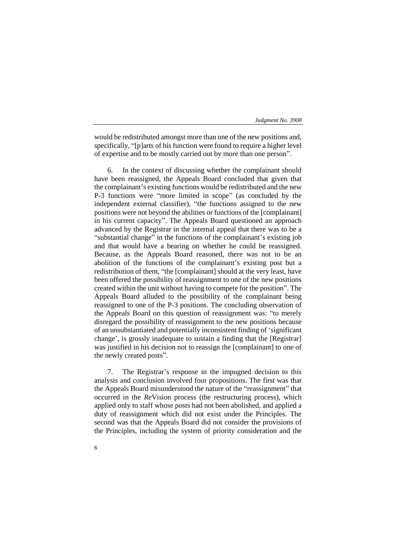would be redistributed amongst more than one of the new positions and, specifically, "[p]arts of his function were found to require a higher level of expertise and to be mostly carried out by more than one person".

6. In the context of discussing whether the complainant should have been reassigned, the Appeals Board concluded that given that the complainant's existing functions would be redistributed and the new P-3 functions were "more limited in scope" (as concluded by the independent external classifier), "the functions assigned to the new positions were not beyond the abilities or functions of the [complainant] in his current capacity". The Appeals Board questioned an approach advanced by the Registrar in the internal appeal that there was to be a "substantial change" in the functions of the complainant's existing job and that would have a bearing on whether he could be reassigned. Because, as the Appeals Board reasoned, there was not to be an abolition of the functions of the complainant's existing post but a redistribution of them, "the [complainant] should at the very least, have been offered the possibility of reassignment to one of the new positions created within the unit without having to compete for the position". The Appeals Board alluded to the possibility of the complainant being reassigned to one of the P-3 positions. The concluding observation of the Appeals Board on this question of reassignment was: "to merely disregard the possibility of reassignment to the new positions because of an unsubstantiated and potentially inconsistent finding of 'significant change', is grossly inadequate to sustain a finding that the [Registrar] was justified in his decision not to reassign the [complainant] to one of the newly created posts".

7. The Registrar's response in the impugned decision to this analysis and conclusion involved four propositions. The first was that the Appeals Board misunderstood the nature of the "reassignment" that occurred in the *Re*Vision process (the restructuring process), which applied only to staff whose posts had not been abolished, and applied a duty of reassignment which did not exist under the Principles. The second was that the Appeals Board did not consider the provisions of the Principles, including the system of priority consideration and the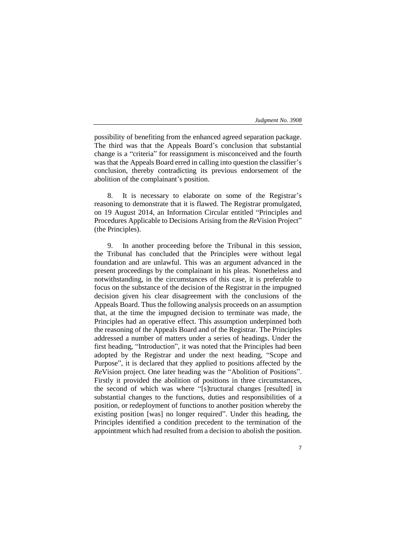possibility of benefiting from the enhanced agreed separation package. The third was that the Appeals Board's conclusion that substantial change is a "criteria" for reassignment is misconceived and the fourth was that the Appeals Board erred in calling into question the classifier's conclusion, thereby contradicting its previous endorsement of the abolition of the complainant's position.

8. It is necessary to elaborate on some of the Registrar's reasoning to demonstrate that it is flawed. The Registrar promulgated, on 19 August 2014, an Information Circular entitled "Principles and Procedures Applicable to Decisions Arising from the *Re*Vision Project" (the Principles).

9. In another proceeding before the Tribunal in this session, the Tribunal has concluded that the Principles were without legal foundation and are unlawful. This was an argument advanced in the present proceedings by the complainant in his pleas. Nonetheless and notwithstanding, in the circumstances of this case, it is preferable to focus on the substance of the decision of the Registrar in the impugned decision given his clear disagreement with the conclusions of the Appeals Board. Thus the following analysis proceeds on an assumption that, at the time the impugned decision to terminate was made, the Principles had an operative effect. This assumption underpinned both the reasoning of the Appeals Board and of the Registrar. The Principles addressed a number of matters under a series of headings. Under the first heading, "Introduction", it was noted that the Principles had been adopted by the Registrar and under the next heading, "Scope and Purpose", it is declared that they applied to positions affected by the *Re*Vision project. One later heading was the "Abolition of Positions". Firstly it provided the abolition of positions in three circumstances, the second of which was where "[s]tructural changes [resulted] in substantial changes to the functions, duties and responsibilities of a position, or redeployment of functions to another position whereby the existing position [was] no longer required". Under this heading, the Principles identified a condition precedent to the termination of the appointment which had resulted from a decision to abolish the position.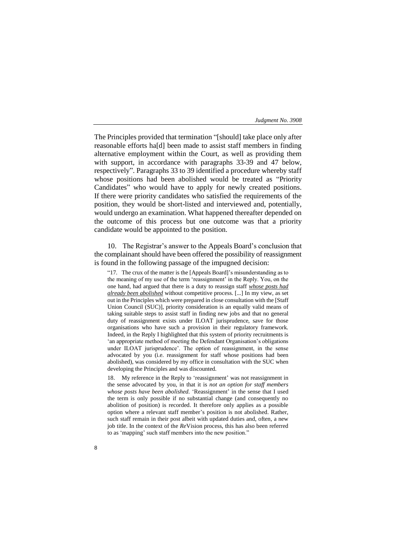The Principles provided that termination "[should] take place only after reasonable efforts ha[d] been made to assist staff members in finding alternative employment within the Court, as well as providing them with support, in accordance with paragraphs 33-39 and 47 below, respectively". Paragraphs 33 to 39 identified a procedure whereby staff whose positions had been abolished would be treated as "Priority Candidates" who would have to apply for newly created positions. If there were priority candidates who satisfied the requirements of the position, they would be short-listed and interviewed and, potentially, would undergo an examination. What happened thereafter depended on the outcome of this process but one outcome was that a priority candidate would be appointed to the position.

10. The Registrar's answer to the Appeals Board's conclusion that the complainant should have been offered the possibility of reassignment is found in the following passage of the impugned decision:

"17. The crux of the matter is the [Appeals Board]'s misunderstanding as to the meaning of my use of the term 'reassignment' in the Reply. You, on the one hand, had argued that there is a duty to reassign staff *whose posts had already been abolished* without competitive process. [...] In my view, as set out in the Principles which were prepared in close consultation with the [Staff Union Council (SUC)], priority consideration is an equally valid means of taking suitable steps to assist staff in finding new jobs and that no general duty of reassignment exists under ILOAT jurisprudence, save for those organisations who have such a provision in their regulatory framework. Indeed, in the Reply I highlighted that this system of priority recruitments is 'an appropriate method of meeting the Defendant Organisation's obligations under ILOAT jurisprudence'. The option of reassignment, in the sense advocated by you (i.e. reassignment for staff whose positions had been abolished), was considered by my office in consultation with the SUC when developing the Principles and was discounted.

18. My reference in the Reply to 'reassignment' was not reassignment in the sense advocated by you, in that it is *not an option for staff members whose posts have been abolished.* 'Reassignment' in the sense that I used the term is only possible if no substantial change (and consequently no abolition of position) is recorded. It therefore only applies as a possible option where a relevant staff member's position is not abolished. Rather, such staff remain in their post albeit with updated duties and, often, a new job title. In the context of the *Re*Vision process, this has also been referred to as 'mapping' such staff members into the new position."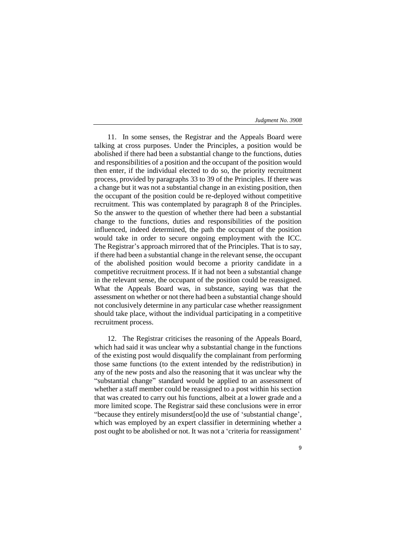11. In some senses, the Registrar and the Appeals Board were talking at cross purposes. Under the Principles, a position would be abolished if there had been a substantial change to the functions, duties and responsibilities of a position and the occupant of the position would then enter, if the individual elected to do so, the priority recruitment process, provided by paragraphs 33 to 39 of the Principles. If there was a change but it was not a substantial change in an existing position, then the occupant of the position could be re-deployed without competitive recruitment. This was contemplated by paragraph 8 of the Principles. So the answer to the question of whether there had been a substantial change to the functions, duties and responsibilities of the position influenced, indeed determined, the path the occupant of the position would take in order to secure ongoing employment with the ICC. The Registrar's approach mirrored that of the Principles. That is to say, if there had been a substantial change in the relevant sense, the occupant of the abolished position would become a priority candidate in a competitive recruitment process. If it had not been a substantial change in the relevant sense, the occupant of the position could be reassigned. What the Appeals Board was, in substance, saying was that the assessment on whether or not there had been a substantial change should not conclusively determine in any particular case whether reassignment should take place, without the individual participating in a competitive recruitment process.

12. The Registrar criticises the reasoning of the Appeals Board, which had said it was unclear why a substantial change in the functions of the existing post would disqualify the complainant from performing those same functions (to the extent intended by the redistribution) in any of the new posts and also the reasoning that it was unclear why the "substantial change" standard would be applied to an assessment of whether a staff member could be reassigned to a post within his section that was created to carry out his functions, albeit at a lower grade and a more limited scope. The Registrar said these conclusions were in error "because they entirely misunderst[oo]d the use of 'substantial change', which was employed by an expert classifier in determining whether a post ought to be abolished or not. It was not a 'criteria for reassignment'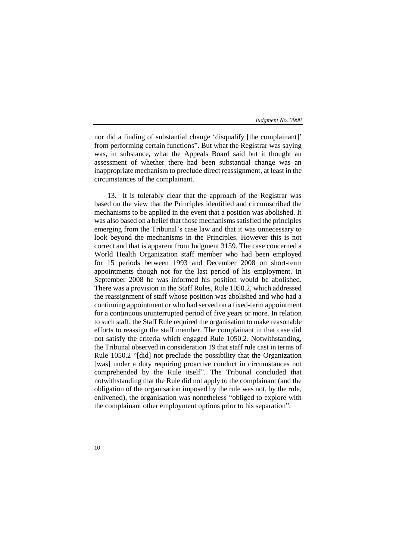nor did a finding of substantial change 'disqualify [the complainant]' from performing certain functions". But what the Registrar was saying was, in substance, what the Appeals Board said but it thought an assessment of whether there had been substantial change was an inappropriate mechanism to preclude direct reassignment, at least in the circumstances of the complainant.

13. It is tolerably clear that the approach of the Registrar was based on the view that the Principles identified and circumscribed the mechanisms to be applied in the event that a position was abolished. It was also based on a belief that those mechanisms satisfied the principles emerging from the Tribunal's case law and that it was unnecessary to look beyond the mechanisms in the Principles. However this is not correct and that is apparent from Judgment 3159. The case concerned a World Health Organization staff member who had been employed for 15 periods between 1993 and December 2008 on short-term appointments though not for the last period of his employment. In September 2008 he was informed his position would be abolished. There was a provision in the Staff Rules, Rule 1050.2, which addressed the reassignment of staff whose position was abolished and who had a continuing appointment or who had served on a fixed-term appointment for a continuous uninterrupted period of five years or more. In relation to such staff, the Staff Rule required the organisation to make reasonable efforts to reassign the staff member. The complainant in that case did not satisfy the criteria which engaged Rule 1050.2. Notwithstanding, the Tribunal observed in consideration 19 that staff rule cast in terms of Rule 1050.2 "[did] not preclude the possibility that the Organization [was] under a duty requiring proactive conduct in circumstances not comprehended by the Rule itself". The Tribunal concluded that notwithstanding that the Rule did not apply to the complainant (and the obligation of the organisation imposed by the rule was not, by the rule, enlivened), the organisation was nonetheless "obliged to explore with the complainant other employment options prior to his separation".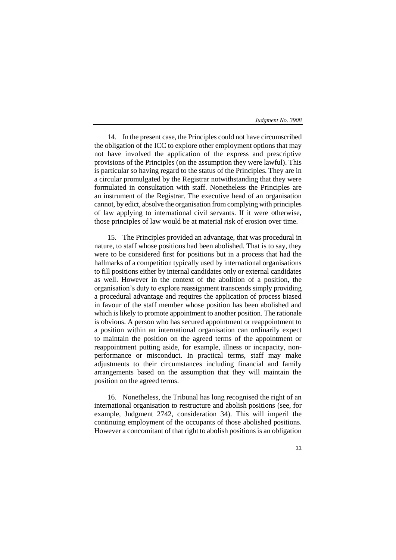14. In the present case, the Principles could not have circumscribed the obligation of the ICC to explore other employment options that may not have involved the application of the express and prescriptive provisions of the Principles (on the assumption they were lawful). This is particular so having regard to the status of the Principles. They are in a circular promulgated by the Registrar notwithstanding that they were formulated in consultation with staff. Nonetheless the Principles are an instrument of the Registrar. The executive head of an organisation cannot, by edict, absolve the organisation from complying with principles of law applying to international civil servants. If it were otherwise, those principles of law would be at material risk of erosion over time.

15. The Principles provided an advantage, that was procedural in nature, to staff whose positions had been abolished. That is to say, they were to be considered first for positions but in a process that had the hallmarks of a competition typically used by international organisations to fill positions either by internal candidates only or external candidates as well. However in the context of the abolition of a position, the organisation's duty to explore reassignment transcends simply providing a procedural advantage and requires the application of process biased in favour of the staff member whose position has been abolished and which is likely to promote appointment to another position. The rationale is obvious. A person who has secured appointment or reappointment to a position within an international organisation can ordinarily expect to maintain the position on the agreed terms of the appointment or reappointment putting aside, for example, illness or incapacity, nonperformance or misconduct. In practical terms, staff may make adjustments to their circumstances including financial and family arrangements based on the assumption that they will maintain the position on the agreed terms.

16. Nonetheless, the Tribunal has long recognised the right of an international organisation to restructure and abolish positions (see, for example, Judgment 2742, consideration 34). This will imperil the continuing employment of the occupants of those abolished positions. However a concomitant of that right to abolish positions is an obligation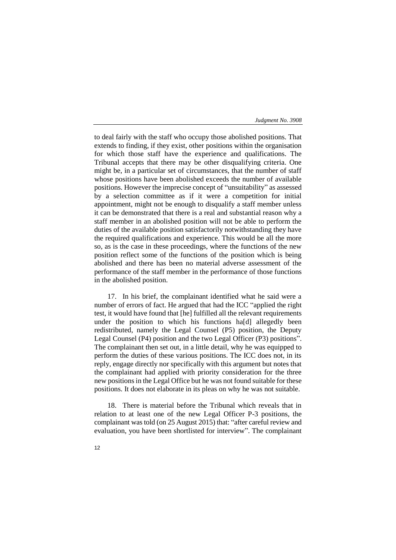to deal fairly with the staff who occupy those abolished positions. That extends to finding, if they exist, other positions within the organisation for which those staff have the experience and qualifications. The Tribunal accepts that there may be other disqualifying criteria. One might be, in a particular set of circumstances, that the number of staff whose positions have been abolished exceeds the number of available positions. However the imprecise concept of "unsuitability" as assessed by a selection committee as if it were a competition for initial appointment, might not be enough to disqualify a staff member unless it can be demonstrated that there is a real and substantial reason why a staff member in an abolished position will not be able to perform the duties of the available position satisfactorily notwithstanding they have the required qualifications and experience. This would be all the more so, as is the case in these proceedings, where the functions of the new position reflect some of the functions of the position which is being abolished and there has been no material adverse assessment of the performance of the staff member in the performance of those functions in the abolished position.

17. In his brief, the complainant identified what he said were a number of errors of fact. He argued that had the ICC "applied the right test, it would have found that [he] fulfilled all the relevant requirements under the position to which his functions ha[d] allegedly been redistributed, namely the Legal Counsel (P5) position, the Deputy Legal Counsel (P4) position and the two Legal Officer (P3) positions". The complainant then set out, in a little detail, why he was equipped to perform the duties of these various positions. The ICC does not, in its reply, engage directly nor specifically with this argument but notes that the complainant had applied with priority consideration for the three new positions in the Legal Office but he was not found suitable for these positions. It does not elaborate in its pleas on why he was not suitable.

18. There is material before the Tribunal which reveals that in relation to at least one of the new Legal Officer P-3 positions, the complainant was told (on 25 August 2015) that: "after careful review and evaluation, you have been shortlisted for interview". The complainant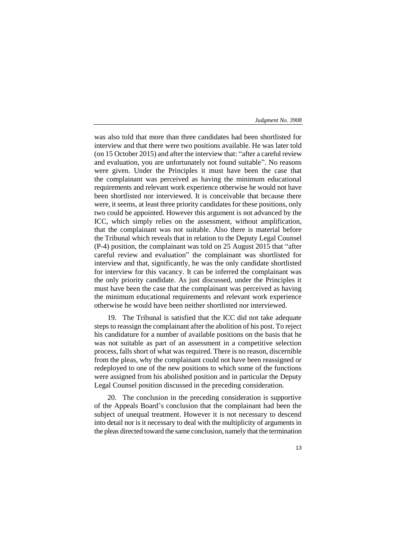was also told that more than three candidates had been shortlisted for interview and that there were two positions available. He was later told (on 15 October 2015) and after the interview that: "after a careful review and evaluation, you are unfortunately not found suitable". No reasons were given. Under the Principles it must have been the case that the complainant was perceived as having the minimum educational requirements and relevant work experience otherwise he would not have been shortlisted nor interviewed. It is conceivable that because there were, it seems, at least three priority candidates for these positions, only two could be appointed. However this argument is not advanced by the ICC, which simply relies on the assessment, without amplification, that the complainant was not suitable. Also there is material before the Tribunal which reveals that in relation to the Deputy Legal Counsel (P-4) position, the complainant was told on 25 August 2015 that "after careful review and evaluation" the complainant was shortlisted for interview and that, significantly, he was the only candidate shortlisted for interview for this vacancy. It can be inferred the complainant was the only priority candidate. As just discussed, under the Principles it must have been the case that the complainant was perceived as having the minimum educational requirements and relevant work experience otherwise he would have been neither shortlisted nor interviewed.

19. The Tribunal is satisfied that the ICC did not take adequate steps to reassign the complainant after the abolition of his post. To reject his candidature for a number of available positions on the basis that he was not suitable as part of an assessment in a competitive selection process, falls short of what was required. There is no reason, discernible from the pleas, why the complainant could not have been reassigned or redeployed to one of the new positions to which some of the functions were assigned from his abolished position and in particular the Deputy Legal Counsel position discussed in the preceding consideration.

20. The conclusion in the preceding consideration is supportive of the Appeals Board's conclusion that the complainant had been the subject of unequal treatment. However it is not necessary to descend into detail nor is it necessary to deal with the multiplicity of arguments in the pleas directed toward the same conclusion, namely that the termination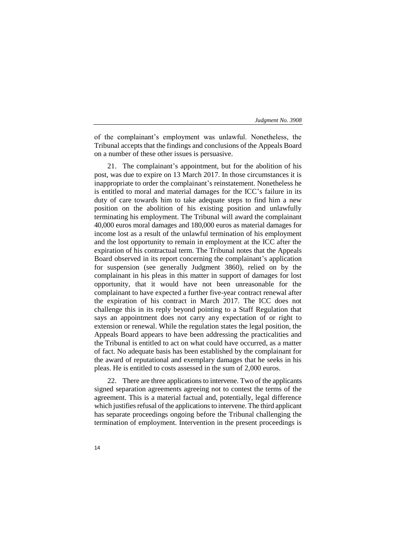of the complainant's employment was unlawful. Nonetheless, the Tribunal accepts that the findings and conclusions of the Appeals Board on a number of these other issues is persuasive.

21. The complainant's appointment, but for the abolition of his post, was due to expire on 13 March 2017. In those circumstances it is inappropriate to order the complainant's reinstatement. Nonetheless he is entitled to moral and material damages for the ICC's failure in its duty of care towards him to take adequate steps to find him a new position on the abolition of his existing position and unlawfully terminating his employment. The Tribunal will award the complainant 40,000 euros moral damages and 180,000 euros as material damages for income lost as a result of the unlawful termination of his employment and the lost opportunity to remain in employment at the ICC after the expiration of his contractual term. The Tribunal notes that the Appeals Board observed in its report concerning the complainant's application for suspension (see generally Judgment 3860), relied on by the complainant in his pleas in this matter in support of damages for lost opportunity, that it would have not been unreasonable for the complainant to have expected a further five-year contract renewal after the expiration of his contract in March 2017. The ICC does not challenge this in its reply beyond pointing to a Staff Regulation that says an appointment does not carry any expectation of or right to extension or renewal. While the regulation states the legal position, the Appeals Board appears to have been addressing the practicalities and the Tribunal is entitled to act on what could have occurred, as a matter of fact. No adequate basis has been established by the complainant for the award of reputational and exemplary damages that he seeks in his pleas. He is entitled to costs assessed in the sum of 2,000 euros.

22. There are three applications to intervene. Two of the applicants signed separation agreements agreeing not to contest the terms of the agreement. This is a material factual and, potentially, legal difference which justifies refusal of the applications to intervene. The third applicant has separate proceedings ongoing before the Tribunal challenging the termination of employment. Intervention in the present proceedings is